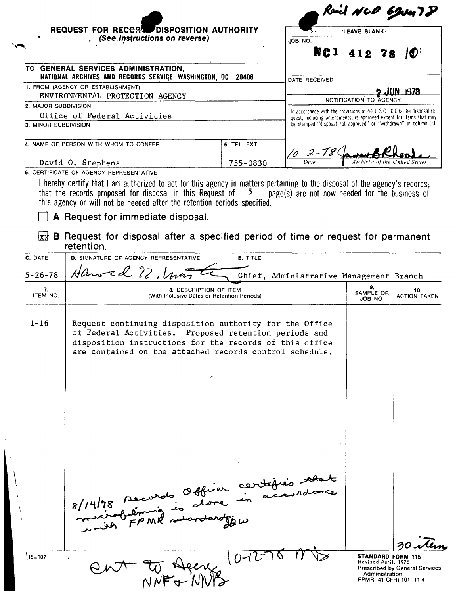|                                      | . (See Instructions on reverse)                                                                                                                                                                                                        |                                                                              | 'LEAVE BLANK .<br>JOB NO.                                                                                                                                                                                                                             |     |
|--------------------------------------|----------------------------------------------------------------------------------------------------------------------------------------------------------------------------------------------------------------------------------------|------------------------------------------------------------------------------|-------------------------------------------------------------------------------------------------------------------------------------------------------------------------------------------------------------------------------------------------------|-----|
|                                      |                                                                                                                                                                                                                                        |                                                                              | NG 1<br>412<br>78                                                                                                                                                                                                                                     |     |
|                                      | TO: GENERAL SERVICES ADMINISTRATION,<br>NATIONAL ARCHIVES AND RECORDS SERVICE, WASHINGTON, DC 20408                                                                                                                                    |                                                                              | DATE RECEIVED                                                                                                                                                                                                                                         |     |
|                                      | 1. FROM (AGENCY OR ESTABLISHMENT)<br>ENVIRONMENTAL PROTECTION AGENCY                                                                                                                                                                   |                                                                              | UN 1978                                                                                                                                                                                                                                               |     |
| 2. MAJOR SUBDIVISION                 |                                                                                                                                                                                                                                        |                                                                              | NOTIFICATION TO AGENCY                                                                                                                                                                                                                                |     |
|                                      | Office of Federal Activities                                                                                                                                                                                                           |                                                                              | In accordance with the provisions of 44 U S.C. 3303a the disposal re-<br>quest, including amendments, is approved except for items that may                                                                                                           |     |
| 3. MINOR SUBDIVISION                 |                                                                                                                                                                                                                                        |                                                                              | be stamped "disposal not approved" or "withdrawn" in column 10.                                                                                                                                                                                       |     |
|                                      | 4. NAME OF PERSON WITH WHOM TO CONFER                                                                                                                                                                                                  | 5. TEL EXT.                                                                  | 10 - 2 - 78                                                                                                                                                                                                                                           |     |
|                                      | David O. Stephens                                                                                                                                                                                                                      | 755-0830                                                                     | Archivist of the United State.                                                                                                                                                                                                                        |     |
|                                      | 6. CERTIFICATE OF AGENCY REPRESENTATIVE                                                                                                                                                                                                |                                                                              |                                                                                                                                                                                                                                                       |     |
|                                      | this agency or will not be needed after the retention periods specified.<br>A Request for immediate disposal.                                                                                                                          |                                                                              | I hereby certify that I am authorized to act for this agency in matters pertaining to the disposal of the agency's records.<br>that the records proposed for disposal in this Request of $\frac{5}{2}$ page(s) are not now needed for the business of |     |
|                                      | retention.                                                                                                                                                                                                                             |                                                                              | $\chi$ <b>B</b> Request for disposal after a specified period of time or request for permanent                                                                                                                                                        |     |
|                                      | D. SIGNATURE OF AGENCY REPRESENTATIVE                                                                                                                                                                                                  | E. TITLE                                                                     |                                                                                                                                                                                                                                                       |     |
|                                      | Hansed 2, Una                                                                                                                                                                                                                          |                                                                              | Chief, Administrative Management Branch                                                                                                                                                                                                               |     |
| 7.<br>ITEM NO.                       |                                                                                                                                                                                                                                        | <b>8. DESCRIPTION OF ITEM</b><br>(With Inclusive Dates or Retention Periods) | 9.<br>SAMPLE OR<br><b>ACTION TAKEN</b><br>JOB NO                                                                                                                                                                                                      | 10. |
| C. DATE<br>$5 - 26 - 78$<br>$1 - 16$ | Request continuing disposition authority for the Office<br>of Federal Activities. Proposed retention periods and<br>disposition instructions for the records of this office<br>are contained on the attached records control schedule. |                                                                              |                                                                                                                                                                                                                                                       |     |

 $8/14/18$ 

 $\mathbf i$  $\mathbf{r}$ 

> *.,~ ~ ~~~~~~~~~--~ \_\_--~3~O~* 30. Prescribed by General Service<br>
> N*NF* + *NNY*

セ

--...,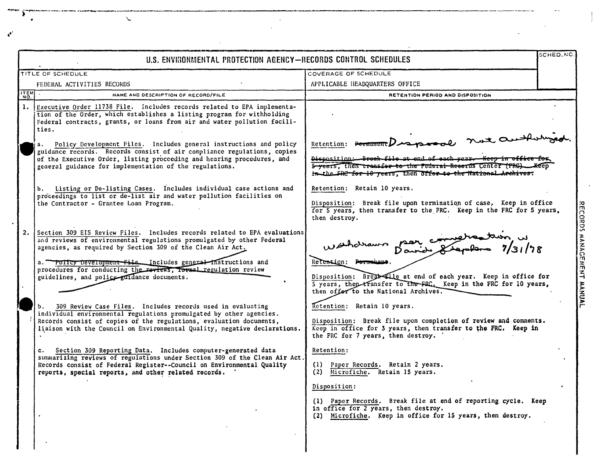|                | U.S. ENVIRONMENTAL PROTECTION AGENCY-RECORDS CONTROL SCHEDULES                                                                                                                                                                                                                                                                                                                                                                                                                                                                                                          |                                                                                                                                                                                                                                                                                                               | SCHED.NO |
|----------------|-------------------------------------------------------------------------------------------------------------------------------------------------------------------------------------------------------------------------------------------------------------------------------------------------------------------------------------------------------------------------------------------------------------------------------------------------------------------------------------------------------------------------------------------------------------------------|---------------------------------------------------------------------------------------------------------------------------------------------------------------------------------------------------------------------------------------------------------------------------------------------------------------|----------|
|                | TITLE OF SCHEDULE                                                                                                                                                                                                                                                                                                                                                                                                                                                                                                                                                       | COVERAGE OF SCHEDULE                                                                                                                                                                                                                                                                                          |          |
|                | FEDERAL ACTIVITIES RECORDS                                                                                                                                                                                                                                                                                                                                                                                                                                                                                                                                              | APPLICABLE HEADQUARTERS OFFICE                                                                                                                                                                                                                                                                                |          |
| <b>ITEM</b>    | NAME AND DESCRIPTION OF RECORD/FILE                                                                                                                                                                                                                                                                                                                                                                                                                                                                                                                                     | RETENTION PERIOD AND DISPOSITION                                                                                                                                                                                                                                                                              |          |
| $\mathbf{1}$ . | Executive Order 11738 File. Includes records related to EPA implementa-<br>tion of the Order, which establishes a listing program for withholding<br>Federal contracts, grants, or loans from air and water pollution facili-<br>ties.                                                                                                                                                                                                                                                                                                                                  |                                                                                                                                                                                                                                                                                                               |          |
|                | Policy Development Files. Includes general instructions and policy<br>a.<br>guidance records. Records consist of air compliance regulations, copies<br>of the Executive Order, listing proceeding and hearing procedures, and<br>general guidance for implementation of the regulations.                                                                                                                                                                                                                                                                                | Retention: Permanente Desposable not auth<br>Disposition: Broak file at end of each year. Keep in office<br>5 years, then transfer to the Federal Records Center (FRG)<br>in the FRC for 10 years, then offer to the National Archives.                                                                       |          |
|                | Listing or De-listing Cases. Includes individual case actions and<br>b.<br>proceedings to list or de-list air and water pollution facilities on<br>the Contractor - Grantee Loan Program.                                                                                                                                                                                                                                                                                                                                                                               | Retention: Retain 10 years.<br>Disposition: Break file upon termination of case, Keep in office<br>for 5 years, then transfer to the FRC. Keep in the FRC for 5 years,<br>then destroy.                                                                                                                       |          |
|                | 2. Section 309 EIS Review Files. Includes records related to EPA evaluations<br>and reviews of environmental regulations promulgated by other Federal<br>agencies, as required by Section 309 of the Clean Air Act.<br>a. Policy Development File. Includes general instructions and<br>procedures for conducting the reviews, formal regulation review<br>guidelines, and policy guidance documents.                                                                                                                                                                   | haramon par completed in us<br>Retention: Permanany<br>Disposition: Break file at end of each year. Keep in office for<br>5 years, then transfer to the FRC. Keep in the FRC for 10 years,<br>then offer to the National Archives.                                                                            |          |
|                | 309 Review Case Files. Includes records used in evaluating<br>individual environmental regulations promulgated by other agencies.<br>Records consist of copies of the regulations, evaluation documents,<br>liaison with the Council on Environmental Quality, negative declarations.<br>c. Section 309 Reporting Data. Includes computer-generated data<br>summarizing reviews of regulations under Section 309 of the Clean Air Act.<br>Records consist of Federal Register--Council on Environmental Quality<br>reports, special reports, and other related records. | Retention: Retain 10 years.<br>Disposition: Break file upon completion of review and comments.<br>Keep in office for 3 years, then transfer to the FRC. Keep in<br>the FRC for 7 years, then destroy.<br>Retention:<br>(1) Paper Records. Retain 2 years.<br>(2) Microfiche. Retain 15 years.<br>Disposition: |          |
|                |                                                                                                                                                                                                                                                                                                                                                                                                                                                                                                                                                                         | (1) Paper Records. Break file at end of reporting cycle. Keep<br>in office for 2 years, then destroy.<br>(2) Microfiche. Keep in office for 15 years, then destroy.                                                                                                                                           |          |

 $\mathbf{r}$  $\overline{a}$ 

 $\ddot{\phantom{a}}$ 

 $\bar{\mathbf{r}}$ 

 $\boldsymbol{\epsilon}^{\bullet}$ 

j.

 $\overline{a}$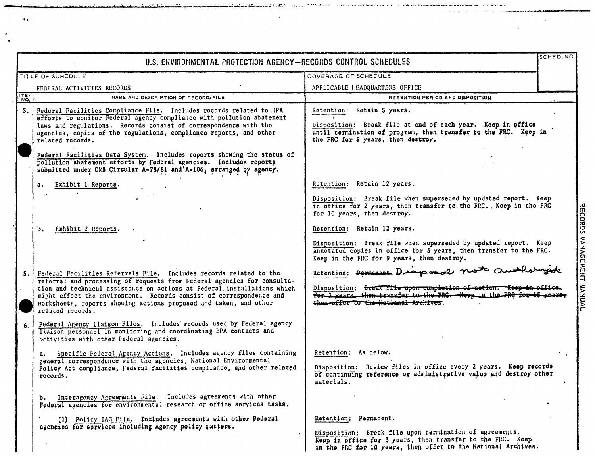|             | U.S. ENVIRONMENTAL PROTECTION AGENCY-RECORDS CONTROL SCHEDULES                                                                                                                                                                                                                                                                                                                                                                                                                                                                                                    |                                                                                                                                                                                                                                    | SCHED.NO |
|-------------|-------------------------------------------------------------------------------------------------------------------------------------------------------------------------------------------------------------------------------------------------------------------------------------------------------------------------------------------------------------------------------------------------------------------------------------------------------------------------------------------------------------------------------------------------------------------|------------------------------------------------------------------------------------------------------------------------------------------------------------------------------------------------------------------------------------|----------|
|             | TITLE OF SCHEDULE                                                                                                                                                                                                                                                                                                                                                                                                                                                                                                                                                 | COVERAGE OF SCHEDULE                                                                                                                                                                                                               |          |
|             | FEDERAL ACTIVITIES RECORDS                                                                                                                                                                                                                                                                                                                                                                                                                                                                                                                                        | APPLICABLE HEADQUARTERS OFFICE                                                                                                                                                                                                     |          |
| <b>ITEN</b> | NAME AND DESCRIPTION OF RECORD/FILE                                                                                                                                                                                                                                                                                                                                                                                                                                                                                                                               | RETENTION PERIOD AND DISPOSITION                                                                                                                                                                                                   |          |
| 3. I        | Federal Facilities Compliance File. Includes records related to EPA<br>efforts to monitor Federal agency compliance with pollution abatement<br>laws and regulations. Records consist of correspondence with the<br>agencies, copies of the regulations, compliance reports, and other<br>related records.<br>Federal Facilities Data System. Includes reports showing the status of<br>pollution abatement efforts by Federal agencies. Includes reports<br>submitted under OMB Circular A-78/81 and A-106, arranged by agency,                                  | Retention: Retain 5 years.<br>Disposition: Break file at end of each year. Keep in office<br>until termination of program, then transfer to the FRC. Keep in<br>the FRC for 5 years, then destroy.                                 |          |
|             | Exhibit 1 Reports.<br>а.                                                                                                                                                                                                                                                                                                                                                                                                                                                                                                                                          | Retention: Retain 12 years.<br>Disposition: Break file when superseded by updated report. Keep<br>in office for 2 years, then transfer to the FRC. Keep in the FRC<br>for 10 years, then destroy.                                  |          |
|             | Exhibit 2 Reports.<br>Ъ.                                                                                                                                                                                                                                                                                                                                                                                                                                                                                                                                          | Retention: Retain 12 years.<br>Disposition: Break file when superseded by updated report. Keep<br>annotated copies in office for 3 years, then transfer to the FRC.<br>Keep in the FRC for 9 years, then destroy.                  |          |
| 5.          | Federal Facilities Referrals File. Includes records related to the<br>referral and processing of requests from Federal agencies for consulta-<br>tion and technical assistance on actions at Federal installations which<br>might effect the environment. Records consist of correspondence and<br>worksheets, reports showing actions proposed and taken, and other<br>related records.<br>Federal Agency Liaison Files. Includes records used by Federal agency                                                                                                 | Retention; Permanent Draposol not authorized<br>Disposition: Break file upon completion of action. Keep in office.<br>for I years, then transfer to the FRC. Koop in the FRC for 15 years,<br>then offer to the National Archives. |          |
| 6.1         | liaison personnel in monitoring and coordinating EPA contacts and<br>activities with other Federal agencies.<br>Specific Federal Agency Actions. Includes agency files containing<br>a. .<br>general correspondence with the agencies, National Environmental<br>Policy Act compliance, Federal facilities compliance, and other related<br>records.<br>Interagency Agreements File. Includes agreements with other<br>b.<br>Federal agencies for environmental research or office services tasks.<br>(1) Policy IAG File, Includes agreements with other Federal | Retention: As below.<br>Disposition: Review files in office every 2 years. Keep records<br>of continuing reference or administrative value and destroy other<br>materials.<br>Retention; Permanent.                                |          |
|             | agencies for services including Agency policy matters,                                                                                                                                                                                                                                                                                                                                                                                                                                                                                                            | Disposition: Break file upon termination of agreements.<br>Keep in office for 3 years, then transfer to the FRC. Keep<br>in the FRC for 10 years, then offer to the National Archives.                                             |          |

 $\sim$ 

 $\sim$ 

and I called a property of the demonstration and an internal between the contract of the second company of the

لأساريد

 $\mathcal{L}$ 

 $\bullet$ 

a productor come a six a postagement

 $\bullet$  .

 $\bullet$  $\ddot{\phantom{0}}$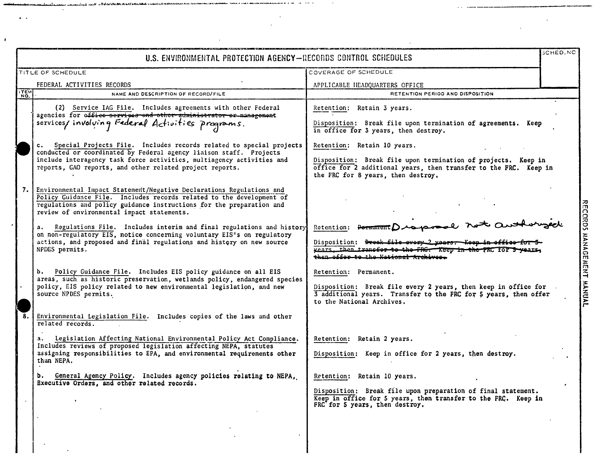|                   | SCHED.NC<br>U.S. ENVIRONMENTAL PROTECTION AGENCY-RECORDS CONTROL SCHEDULES                                                                                                                                                                                                                                                                                                                                                                                                                                               |                                                                                                                                                                                                                                                                                                                                              |                           |  |
|-------------------|--------------------------------------------------------------------------------------------------------------------------------------------------------------------------------------------------------------------------------------------------------------------------------------------------------------------------------------------------------------------------------------------------------------------------------------------------------------------------------------------------------------------------|----------------------------------------------------------------------------------------------------------------------------------------------------------------------------------------------------------------------------------------------------------------------------------------------------------------------------------------------|---------------------------|--|
| TITLE OF SCHEDULE |                                                                                                                                                                                                                                                                                                                                                                                                                                                                                                                          | COVERAGE OF SCHEDULE                                                                                                                                                                                                                                                                                                                         |                           |  |
|                   | FEDERAL ACTIVITIES RECORDS                                                                                                                                                                                                                                                                                                                                                                                                                                                                                               | APPLICABLE HEADQUARTERS OFFICE                                                                                                                                                                                                                                                                                                               |                           |  |
| <b>ITEM</b>       | NAME AND DESCRIPTION OF RECORD/FILE                                                                                                                                                                                                                                                                                                                                                                                                                                                                                      | RETENTION PERIOD AND DISPOSITION                                                                                                                                                                                                                                                                                                             |                           |  |
|                   | (2) Service IAG File. Includes agreements with other Federal<br>agencies for office services and other administrator or management<br>services/involving Federal Activities programs.<br>Special Projects File. Includes records related to special projects<br>$c_{\star}$<br>conducted or coordinated by Federal agency liaison staff. Projects<br>include interagency task force activities, multiagency activities and<br>reports, GAO reports, and other related project reports.                                   | Retention: Retain 3 years.<br>Disposition: Break file upon termination of agreements. Keep<br>in office for 3 years, then destroy.<br>Retention: Retain 10 years.<br>Disposition: Break file upon termination of projects. Keep in<br>office for 2 additional years, then transfer to the FRC. Keep in<br>the FRC for 8 years, then destroy. |                           |  |
|                   | 7. Environmental Impact Statement/Negative Declarations Regulations and<br>Policy Guidance File. Includes records related to the development of<br>regulations and policy guidance instructions for the preparation and<br>review of environmental impact statements.<br>Regulations File. Includes interim and final regulations and history<br>a.<br>on non-regulatory EIS, notice concerning voluntary EIS's on regulatory<br>actions, and proposed and final regulations and history on new source<br>NPDES permits. | Retention: PermanentDraporal not Outh<br>Disposition: <del>Break file every 2 years. Keep in office</del><br>vears then transfer to the FRG. Keep in the FRC IOF 5 years,<br>then offer to the National Archives.                                                                                                                            | RECORDS MANAGEMENT MANUAL |  |
|                   | b. Policy Guidance File. Includes EIS policy guidance on all EIS<br>areas, such as historic preservation, wetlands policy, endangered species<br>policy, EIS policy related to new environmental legislation, and new<br>source NPDES permits.                                                                                                                                                                                                                                                                           | Retention: Permanent.<br>Disposition: Break file every 2 years, then keep in office for<br>3 additional years. Transfer to the FRC for 5 years, then offer<br>to the National Archives.                                                                                                                                                      |                           |  |
|                   | Environmental Legislation File. Includes copies of the laws and other<br>related records.<br>Legislation Affecting National Environmental Policy Act Compliance.<br>Includes reviews of proposed legislation affecting NEPA, statutes<br>assigning responsibilities to EPA, and environmental requirements other<br>than NEPA.                                                                                                                                                                                           | Retention: Retain 2 years.<br>Disposition: Keep in office for 2 years, then destroy.                                                                                                                                                                                                                                                         |                           |  |
|                   | General Agency Policy. Includes agency policies relating to NEPA,<br>b.<br>Executive Orders, and other related records.                                                                                                                                                                                                                                                                                                                                                                                                  | Retention: Retain 10 years.<br>Disposition: Break file upon preparation of final statement.<br>Keep in office for 5 years, then transfer to the FRC. Keep in<br>FRC for 5 years, then destroy.                                                                                                                                               |                           |  |
|                   |                                                                                                                                                                                                                                                                                                                                                                                                                                                                                                                          |                                                                                                                                                                                                                                                                                                                                              |                           |  |

 $\overline{a}$  $\sim$   $\sim$   $\lambda$ 

 $\ddot{\phantom{a}}$ 

 $\lambda$ 

 $\overline{\phantom{a}}$ 

alan ing terminang ang panggunang panggunang nagarang panggunang sanggunang panggunang sa manggunang panggunan

 $\lambda$ 

 $\overline{\phantom{a}}$ 

 $\kappa \rightarrow$ 

 $\pmb{\epsilon}$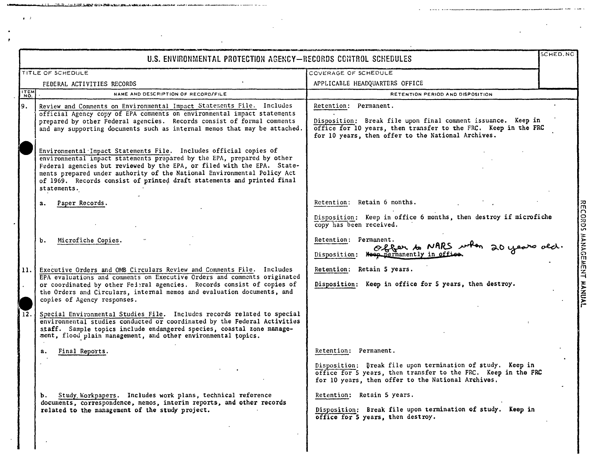|             | U.S. ENVIRONMENTAL PROTECTION AGENCY-RECORDS CONTROL SCHEDULES                                                                                                                                                                                                                                                                                                                                                                                                                                                                                                                                                                                                                                        |                                                                                                                                                                                                                                                                                                                            | SCHED.NC |
|-------------|-------------------------------------------------------------------------------------------------------------------------------------------------------------------------------------------------------------------------------------------------------------------------------------------------------------------------------------------------------------------------------------------------------------------------------------------------------------------------------------------------------------------------------------------------------------------------------------------------------------------------------------------------------------------------------------------------------|----------------------------------------------------------------------------------------------------------------------------------------------------------------------------------------------------------------------------------------------------------------------------------------------------------------------------|----------|
|             | TITLE OF SCHEDULE                                                                                                                                                                                                                                                                                                                                                                                                                                                                                                                                                                                                                                                                                     | COVERAGE OF SCHEDULE                                                                                                                                                                                                                                                                                                       |          |
|             | FEDERAL ACTIVITIES RECORDS                                                                                                                                                                                                                                                                                                                                                                                                                                                                                                                                                                                                                                                                            | APPLICABLE HEADQUARTERS OFFICE                                                                                                                                                                                                                                                                                             |          |
| <b>ITEM</b> | NAME AND DESCRIPTION OF RECORD/FILE                                                                                                                                                                                                                                                                                                                                                                                                                                                                                                                                                                                                                                                                   | RETENTION PERIOD AND DISPOSITION                                                                                                                                                                                                                                                                                           |          |
| 9.          | Review and Comments on Environmental Impact Statements File. Includes<br>official Agency copy of EPA comments on environmental impact statements<br>prepared by other Federal agencies. Records consist of formal comments<br>and any supporting documents such as internal memos that may be attached.<br>Environmental Impact Statements File. Includes official copies of<br>environmental impact statements prepared by the EPA, prepared by other<br>Federal agencies but reviewed by the EPA, or filed with the EPA. State-<br>ments prepared under authority of the National Environmental Policy Act<br>of 1969. Records consist of printed draft statements and printed final<br>statements. | Retention: Permanent.<br>Disposition: Break file upon final comment issuance. Keep in<br>office for 10 years, then transfer to the FRC. Keep in the FRC<br>for 10 years, then offer to the National Archives.                                                                                                              |          |
| 11.<br>12.  | Paper Records.<br>а.<br>Microfiche Copies.<br>Ъ.<br>Executive Orders and OMB Circulars Review and Comments File. Includes<br>EPA evaluations and comments on Executive Orders and comments originated<br>or coordinated by other Federal agencies. Records consist of copies of<br>the Orders and Circulars, internal memos and evaluation documents, and<br>copies of Agency responses.<br>Special Environmental Studies File. Includes records related to special<br>environmental studies conducted or coordinated by the Federal Activities<br>staff. Sample topics include endangered species, coastal zone manage-<br>ment, flood plain management, and other environmental topics.             | Retention: Retain 6 months.<br>Disposition: Keep in office 6 months, then destroy if microfiche<br>copy has been received.<br>Retention: Permanent.<br>offer to NARS when 20 years old.<br>Disposition: Keep permanently in office<br>Retention: Retain 5 years.<br>Disposition: Keep in office for 5 years, then destroy. |          |
|             | Final Reports.                                                                                                                                                                                                                                                                                                                                                                                                                                                                                                                                                                                                                                                                                        | Retention: Permanent.                                                                                                                                                                                                                                                                                                      |          |
|             | Study Workpapers. Includes work plans, technical reference<br>b.<br>documents, correspondence, memos, interim reports, and other records<br>related to the management of the study project.                                                                                                                                                                                                                                                                                                                                                                                                                                                                                                           | Disposition: Break file upon termination of study. Keep in<br>office for 5 years, then transfer to the FRC. Keep in the FRC<br>for 10 years, then offer to the National Archives.<br>Retention: Retain 5 years.<br>Disposition: Break file upon termination of study. Keep in<br>office for 5 years, then destroy.         |          |

 $\ddot{\phantom{0}}$ 

 $\ddot{\phantom{a}}$ 

allas and

 $\ddot{\phantom{0}}$ 

 $\ddot{\phantom{a}}$ 

 $\ddot{\phantom{a}}$ 

一体的 三郎

 $\overline{\phantom{a}}$ 

 $\bullet$   $\rightarrow$ 

 $\overline{\phantom{a}}$ 

J.